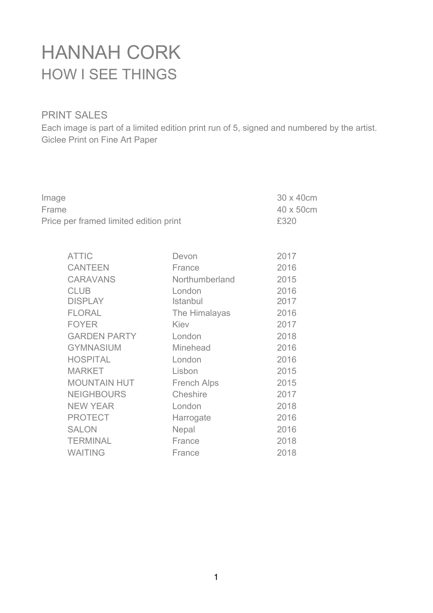## HANNAH CORK HOW I SEE THINGS

## PRINT SALES

Each image is part of a limited edition print run of 5, signed and numbered by the artist. Giclee Print on Fine Art Paper

|                    | 30 x 40cm<br>40 x 50cm                                                                |
|--------------------|---------------------------------------------------------------------------------------|
| Frame              |                                                                                       |
|                    | £320                                                                                  |
|                    |                                                                                       |
|                    | 2017                                                                                  |
|                    | 2016                                                                                  |
|                    | 2015                                                                                  |
|                    | 2016                                                                                  |
| Istanbul           | 2017                                                                                  |
| The Himalayas      | 2016                                                                                  |
| Kiev               | 2017                                                                                  |
| London             | 2018                                                                                  |
| Minehead           | 2016                                                                                  |
| London             | 2016                                                                                  |
| Lisbon             | 2015                                                                                  |
| <b>French Alps</b> | 2015                                                                                  |
| Cheshire           | 2017                                                                                  |
| London             | 2018                                                                                  |
| Harrogate          | 2016                                                                                  |
| Nepal              | 2016                                                                                  |
| France             | 2018                                                                                  |
| France             | 2018                                                                                  |
|                    | Price per framed limited edition print<br>Devon<br>France<br>Northumberland<br>London |